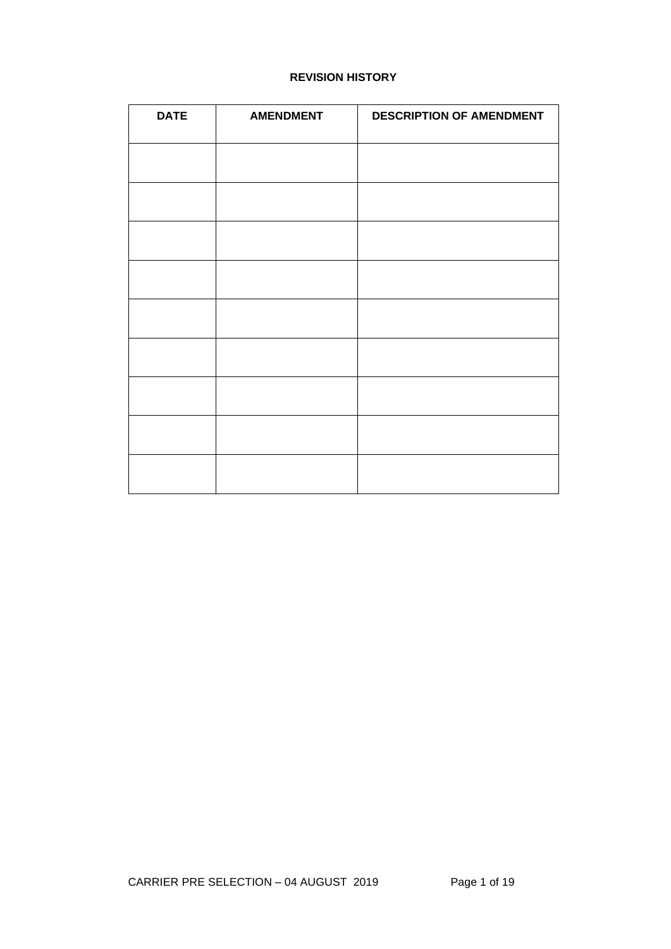# **REVISION HISTORY**

| <b>DATE</b> | <b>AMENDMENT</b> | <b>DESCRIPTION OF AMENDMENT</b> |
|-------------|------------------|---------------------------------|
|             |                  |                                 |
|             |                  |                                 |
|             |                  |                                 |
|             |                  |                                 |
|             |                  |                                 |
|             |                  |                                 |
|             |                  |                                 |
|             |                  |                                 |
|             |                  |                                 |
|             |                  |                                 |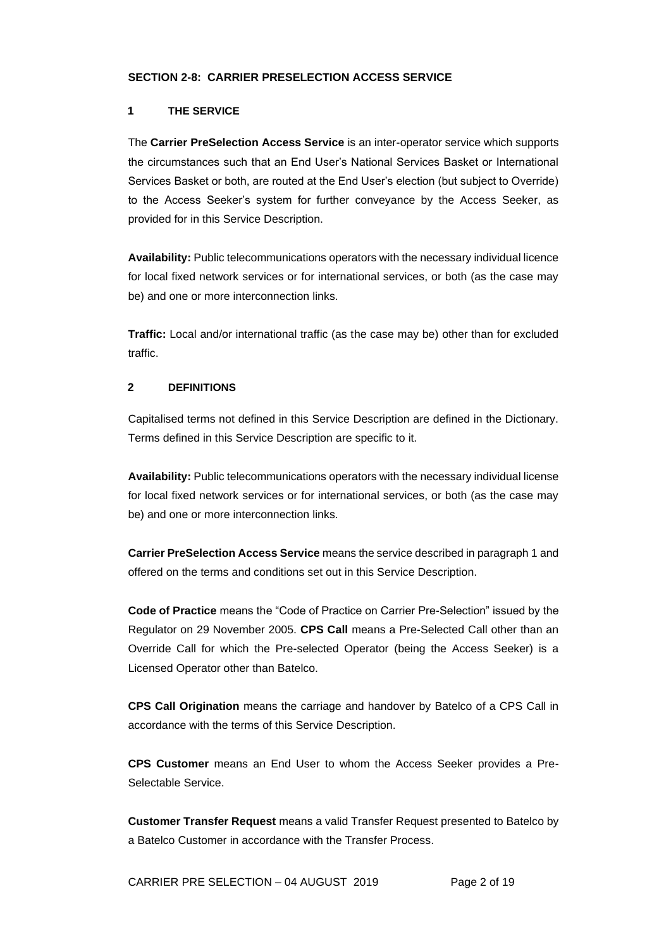### **1 THE SERVICE**

The **Carrier PreSelection Access Service** is an inter-operator service which supports the circumstances such that an End User's National Services Basket or International Services Basket or both, are routed at the End User's election (but subject to Override) to the Access Seeker's system for further conveyance by the Access Seeker, as provided for in this Service Description.

**Availability:** Public telecommunications operators with the necessary individual licence for local fixed network services or for international services, or both (as the case may be) and one or more interconnection links.

**Traffic:** Local and/or international traffic (as the case may be) other than for excluded traffic.

# **2 DEFINITIONS**

Capitalised terms not defined in this Service Description are defined in the Dictionary. Terms defined in this Service Description are specific to it.

**Availability:** Public telecommunications operators with the necessary individual license for local fixed network services or for international services, or both (as the case may be) and one or more interconnection links.

**Carrier PreSelection Access Service** means the service described in paragraph 1 and offered on the terms and conditions set out in this Service Description.

**Code of Practice** means the "Code of Practice on Carrier Pre-Selection" issued by the Regulator on 29 November 2005. **CPS Call** means a Pre-Selected Call other than an Override Call for which the Pre-selected Operator (being the Access Seeker) is a Licensed Operator other than Batelco.

**CPS Call Origination** means the carriage and handover by Batelco of a CPS Call in accordance with the terms of this Service Description.

**CPS Customer** means an End User to whom the Access Seeker provides a Pre-Selectable Service.

**Customer Transfer Request** means a valid Transfer Request presented to Batelco by a Batelco Customer in accordance with the Transfer Process.

CARRIER PRE SELECTION – 04 AUGUST 2019 Page 2 of 19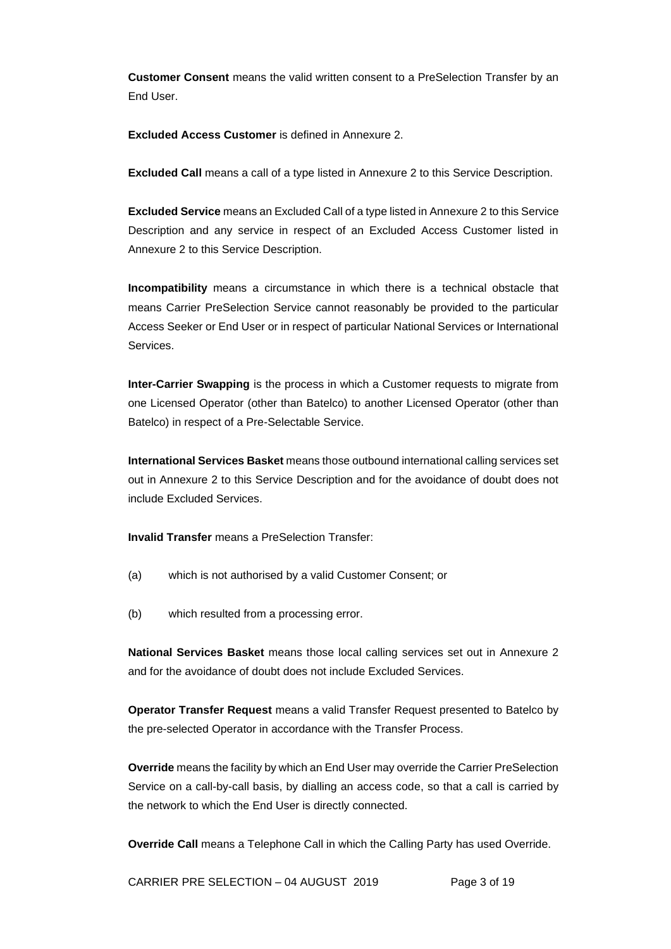**Customer Consent** means the valid written consent to a PreSelection Transfer by an End User.

**Excluded Access Customer** is defined in Annexure 2.

**Excluded Call** means a call of a type listed in Annexure 2 to this Service Description.

**Excluded Service** means an Excluded Call of a type listed in Annexure 2 to this Service Description and any service in respect of an Excluded Access Customer listed in Annexure 2 to this Service Description.

**Incompatibility** means a circumstance in which there is a technical obstacle that means Carrier PreSelection Service cannot reasonably be provided to the particular Access Seeker or End User or in respect of particular National Services or International Services.

**Inter-Carrier Swapping** is the process in which a Customer requests to migrate from one Licensed Operator (other than Batelco) to another Licensed Operator (other than Batelco) in respect of a Pre-Selectable Service.

**International Services Basket** means those outbound international calling services set out in Annexure 2 to this Service Description and for the avoidance of doubt does not include Excluded Services.

**Invalid Transfer** means a PreSelection Transfer:

- (a) which is not authorised by a valid Customer Consent; or
- (b) which resulted from a processing error.

**National Services Basket** means those local calling services set out in Annexure 2 and for the avoidance of doubt does not include Excluded Services.

**Operator Transfer Request** means a valid Transfer Request presented to Batelco by the pre-selected Operator in accordance with the Transfer Process.

**Override** means the facility by which an End User may override the Carrier PreSelection Service on a call-by-call basis, by dialling an access code, so that a call is carried by the network to which the End User is directly connected.

**Override Call** means a Telephone Call in which the Calling Party has used Override.

CARRIER PRE SELECTION – 04 AUGUST 2019 Page 3 of 19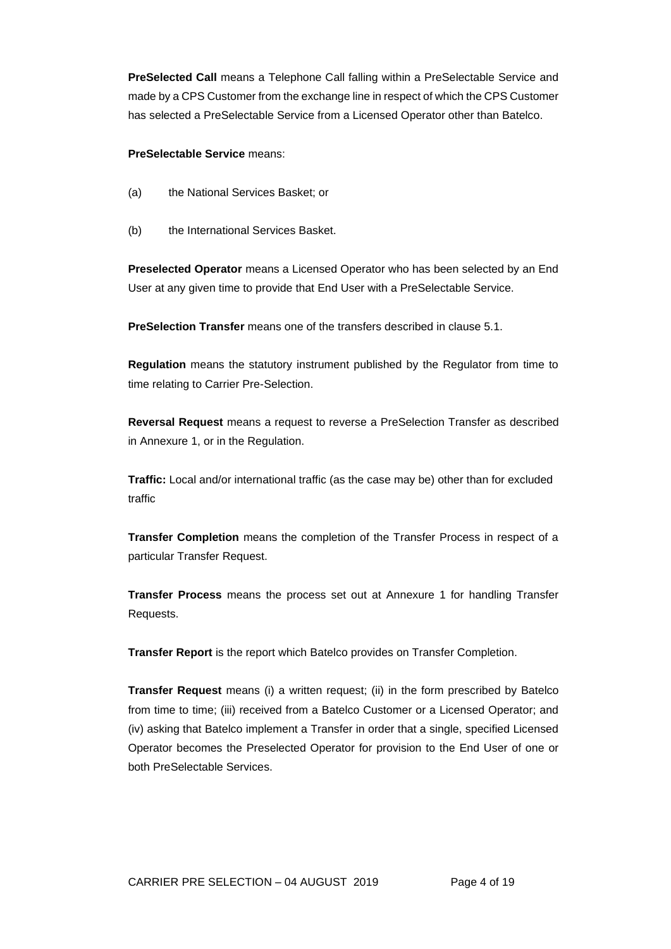**PreSelected Call** means a Telephone Call falling within a PreSelectable Service and made by a CPS Customer from the exchange line in respect of which the CPS Customer has selected a PreSelectable Service from a Licensed Operator other than Batelco.

### **PreSelectable Service** means:

- (a) the National Services Basket; or
- (b) the International Services Basket.

**Preselected Operator** means a Licensed Operator who has been selected by an End User at any given time to provide that End User with a PreSelectable Service.

**PreSelection Transfer** means one of the transfers described in clause 5.1.

**Regulation** means the statutory instrument published by the Regulator from time to time relating to Carrier Pre-Selection.

**Reversal Request** means a request to reverse a PreSelection Transfer as described in Annexure 1, or in the Regulation.

**Traffic:** Local and/or international traffic (as the case may be) other than for excluded traffic

**Transfer Completion** means the completion of the Transfer Process in respect of a particular Transfer Request.

**Transfer Process** means the process set out at Annexure 1 for handling Transfer Requests.

**Transfer Report** is the report which Batelco provides on Transfer Completion.

**Transfer Request** means (i) a written request; (ii) in the form prescribed by Batelco from time to time; (iii) received from a Batelco Customer or a Licensed Operator; and (iv) asking that Batelco implement a Transfer in order that a single, specified Licensed Operator becomes the Preselected Operator for provision to the End User of one or both PreSelectable Services.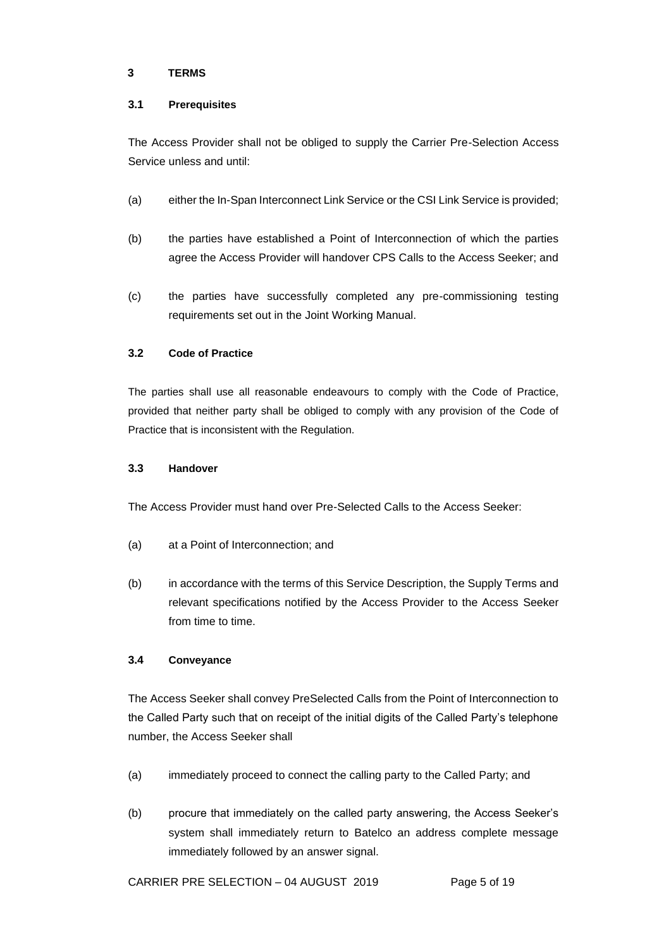#### **3 TERMS**

#### **3.1 Prerequisites**

The Access Provider shall not be obliged to supply the Carrier Pre-Selection Access Service unless and until:

- (a) either the In-Span Interconnect Link Service or the CSI Link Service is provided;
- (b) the parties have established a Point of Interconnection of which the parties agree the Access Provider will handover CPS Calls to the Access Seeker; and
- (c) the parties have successfully completed any pre-commissioning testing requirements set out in the Joint Working Manual.

#### **3.2 Code of Practice**

The parties shall use all reasonable endeavours to comply with the Code of Practice, provided that neither party shall be obliged to comply with any provision of the Code of Practice that is inconsistent with the Regulation.

### **3.3 Handover**

The Access Provider must hand over Pre-Selected Calls to the Access Seeker:

- (a) at a Point of Interconnection; and
- (b) in accordance with the terms of this Service Description, the Supply Terms and relevant specifications notified by the Access Provider to the Access Seeker from time to time.

#### **3.4 Conveyance**

The Access Seeker shall convey PreSelected Calls from the Point of Interconnection to the Called Party such that on receipt of the initial digits of the Called Party's telephone number, the Access Seeker shall

- (a) immediately proceed to connect the calling party to the Called Party; and
- (b) procure that immediately on the called party answering, the Access Seeker's system shall immediately return to Batelco an address complete message immediately followed by an answer signal.

CARRIER PRE SELECTION – 04 AUGUST 2019 Page 5 of 19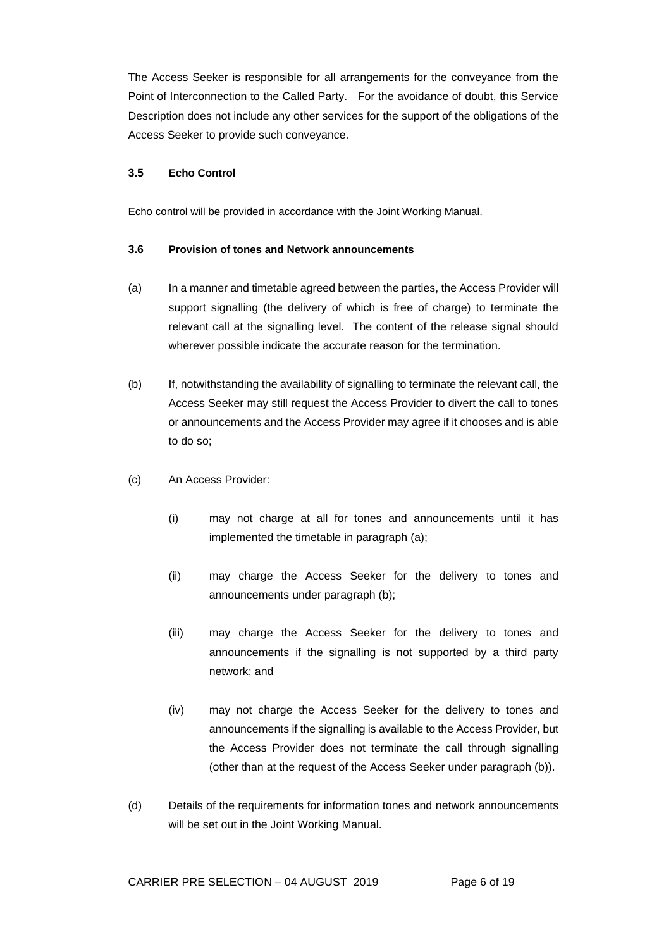The Access Seeker is responsible for all arrangements for the conveyance from the Point of Interconnection to the Called Party. For the avoidance of doubt, this Service Description does not include any other services for the support of the obligations of the Access Seeker to provide such conveyance.

#### **3.5 Echo Control**

Echo control will be provided in accordance with the Joint Working Manual.

#### **3.6 Provision of tones and Network announcements**

- (a) In a manner and timetable agreed between the parties, the Access Provider will support signalling (the delivery of which is free of charge) to terminate the relevant call at the signalling level. The content of the release signal should wherever possible indicate the accurate reason for the termination.
- (b) If, notwithstanding the availability of signalling to terminate the relevant call, the Access Seeker may still request the Access Provider to divert the call to tones or announcements and the Access Provider may agree if it chooses and is able to do so;
- (c) An Access Provider:
	- (i) may not charge at all for tones and announcements until it has implemented the timetable in paragraph (a);
	- (ii) may charge the Access Seeker for the delivery to tones and announcements under paragraph (b);
	- (iii) may charge the Access Seeker for the delivery to tones and announcements if the signalling is not supported by a third party network; and
	- (iv) may not charge the Access Seeker for the delivery to tones and announcements if the signalling is available to the Access Provider, but the Access Provider does not terminate the call through signalling (other than at the request of the Access Seeker under paragraph (b)).
- (d) Details of the requirements for information tones and network announcements will be set out in the Joint Working Manual.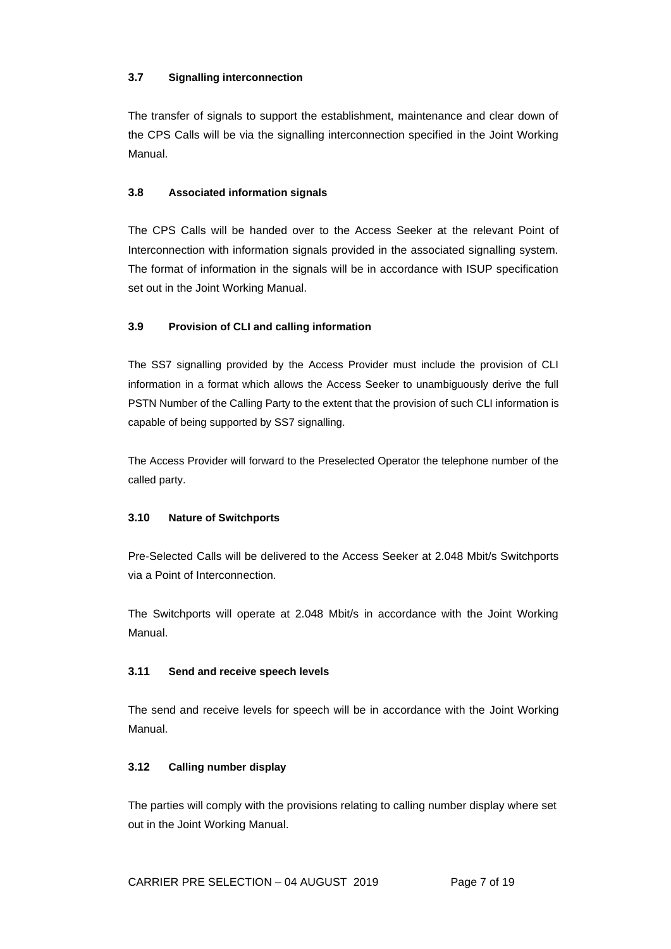### **3.7 Signalling interconnection**

The transfer of signals to support the establishment, maintenance and clear down of the CPS Calls will be via the signalling interconnection specified in the Joint Working Manual.

### **3.8 Associated information signals**

The CPS Calls will be handed over to the Access Seeker at the relevant Point of Interconnection with information signals provided in the associated signalling system. The format of information in the signals will be in accordance with ISUP specification set out in the Joint Working Manual.

### **3.9 Provision of CLI and calling information**

The SS7 signalling provided by the Access Provider must include the provision of CLI information in a format which allows the Access Seeker to unambiguously derive the full PSTN Number of the Calling Party to the extent that the provision of such CLI information is capable of being supported by SS7 signalling.

The Access Provider will forward to the Preselected Operator the telephone number of the called party.

#### **3.10 Nature of Switchports**

Pre-Selected Calls will be delivered to the Access Seeker at 2.048 Mbit/s Switchports via a Point of Interconnection.

The Switchports will operate at 2.048 Mbit/s in accordance with the Joint Working Manual.

### **3.11 Send and receive speech levels**

The send and receive levels for speech will be in accordance with the Joint Working Manual.

# **3.12 Calling number display**

The parties will comply with the provisions relating to calling number display where set out in the Joint Working Manual.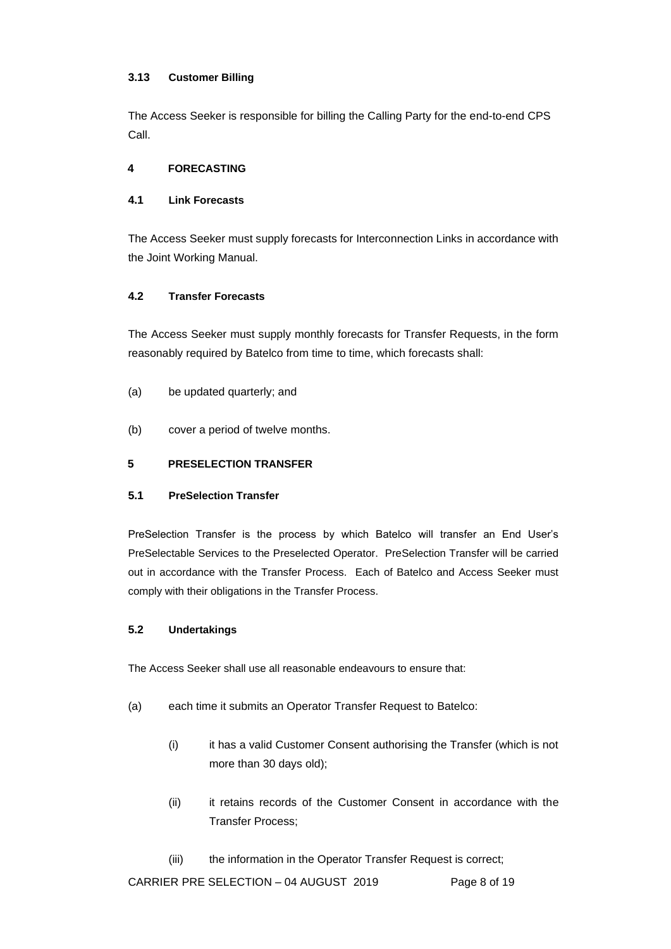### **3.13 Customer Billing**

The Access Seeker is responsible for billing the Calling Party for the end-to-end CPS Call.

# **4 FORECASTING**

### **4.1 Link Forecasts**

The Access Seeker must supply forecasts for Interconnection Links in accordance with the Joint Working Manual.

### **4.2 Transfer Forecasts**

The Access Seeker must supply monthly forecasts for Transfer Requests, in the form reasonably required by Batelco from time to time, which forecasts shall:

- (a) be updated quarterly; and
- (b) cover a period of twelve months.

### **5 PRESELECTION TRANSFER**

#### **5.1 PreSelection Transfer**

PreSelection Transfer is the process by which Batelco will transfer an End User's PreSelectable Services to the Preselected Operator. PreSelection Transfer will be carried out in accordance with the Transfer Process. Each of Batelco and Access Seeker must comply with their obligations in the Transfer Process.

#### **5.2 Undertakings**

The Access Seeker shall use all reasonable endeavours to ensure that:

- (a) each time it submits an Operator Transfer Request to Batelco:
	- (i) it has a valid Customer Consent authorising the Transfer (which is not more than 30 days old);
	- (ii) it retains records of the Customer Consent in accordance with the Transfer Process;
	- (iii) the information in the Operator Transfer Request is correct;

CARRIER PRE SELECTION – 04 AUGUST 2019 Page 8 of 19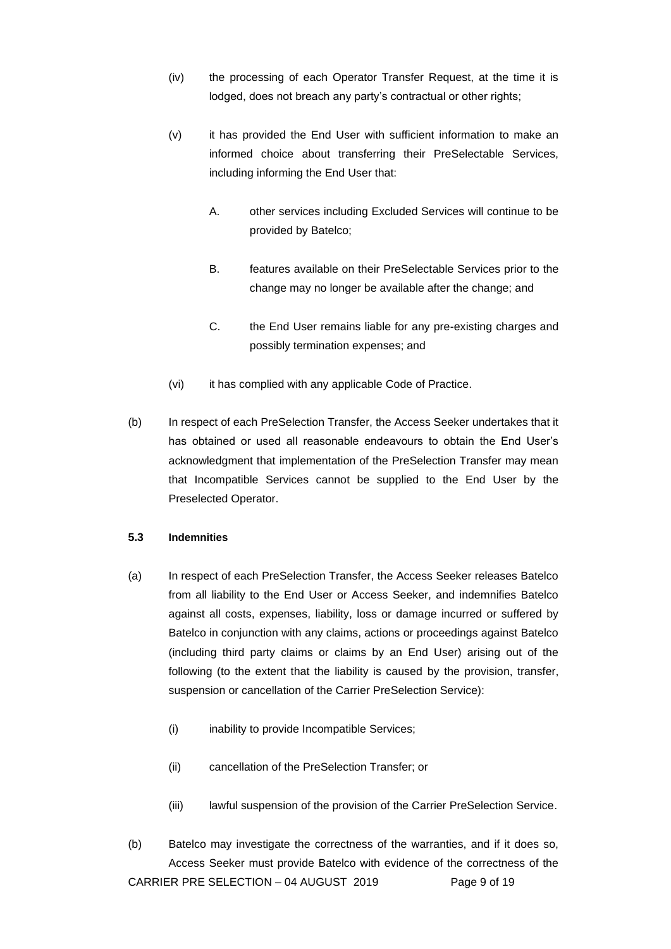- (iv) the processing of each Operator Transfer Request, at the time it is lodged, does not breach any party's contractual or other rights;
- (v) it has provided the End User with sufficient information to make an informed choice about transferring their PreSelectable Services, including informing the End User that:
	- A. other services including Excluded Services will continue to be provided by Batelco;
	- B. features available on their PreSelectable Services prior to the change may no longer be available after the change; and
	- C. the End User remains liable for any pre-existing charges and possibly termination expenses; and
- (vi) it has complied with any applicable Code of Practice.
- (b) In respect of each PreSelection Transfer, the Access Seeker undertakes that it has obtained or used all reasonable endeavours to obtain the End User's acknowledgment that implementation of the PreSelection Transfer may mean that Incompatible Services cannot be supplied to the End User by the Preselected Operator.

#### **5.3 Indemnities**

- (a) In respect of each PreSelection Transfer, the Access Seeker releases Batelco from all liability to the End User or Access Seeker, and indemnifies Batelco against all costs, expenses, liability, loss or damage incurred or suffered by Batelco in conjunction with any claims, actions or proceedings against Batelco (including third party claims or claims by an End User) arising out of the following (to the extent that the liability is caused by the provision, transfer, suspension or cancellation of the Carrier PreSelection Service):
	- (i) inability to provide Incompatible Services;
	- (ii) cancellation of the PreSelection Transfer; or
	- (iii) lawful suspension of the provision of the Carrier PreSelection Service.
- CARRIER PRE SELECTION 04 AUGUST 2019 Page 9 of 19 (b) Batelco may investigate the correctness of the warranties, and if it does so, Access Seeker must provide Batelco with evidence of the correctness of the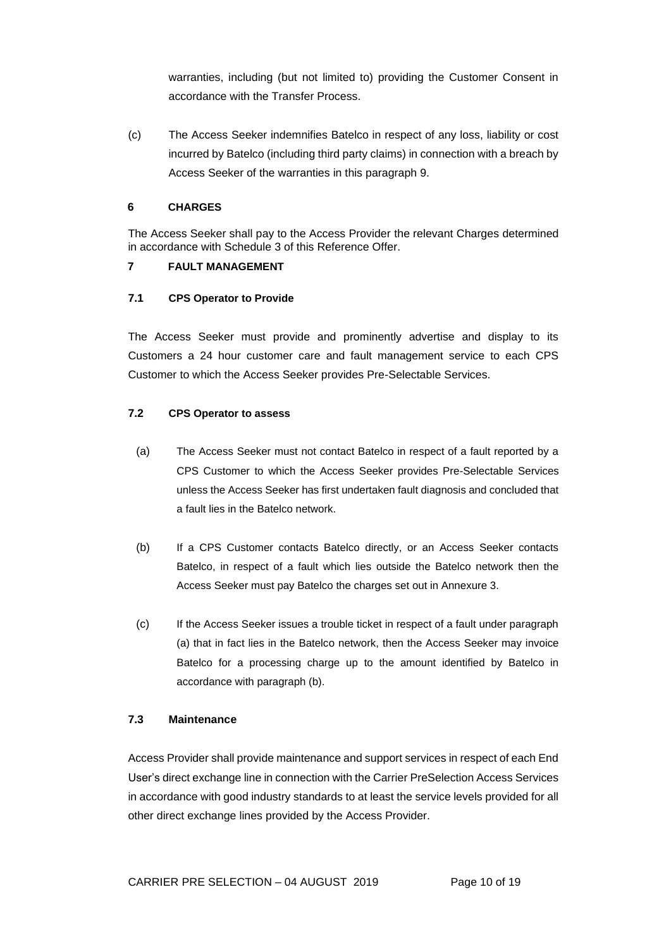warranties, including (but not limited to) providing the Customer Consent in accordance with the Transfer Process.

(c) The Access Seeker indemnifies Batelco in respect of any loss, liability or cost incurred by Batelco (including third party claims) in connection with a breach by Access Seeker of the warranties in this paragraph 9.

### **6 CHARGES**

The Access Seeker shall pay to the Access Provider the relevant Charges determined in accordance with Schedule 3 of this Reference Offer.

### **7 FAULT MANAGEMENT**

### **7.1 CPS Operator to Provide**

The Access Seeker must provide and prominently advertise and display to its Customers a 24 hour customer care and fault management service to each CPS Customer to which the Access Seeker provides Pre-Selectable Services.

### **7.2 CPS Operator to assess**

- (a) The Access Seeker must not contact Batelco in respect of a fault reported by a CPS Customer to which the Access Seeker provides Pre-Selectable Services unless the Access Seeker has first undertaken fault diagnosis and concluded that a fault lies in the Batelco network.
- (b) If a CPS Customer contacts Batelco directly, or an Access Seeker contacts Batelco, in respect of a fault which lies outside the Batelco network then the Access Seeker must pay Batelco the charges set out in Annexure 3.
- (c) If the Access Seeker issues a trouble ticket in respect of a fault under paragraph (a) that in fact lies in the Batelco network, then the Access Seeker may invoice Batelco for a processing charge up to the amount identified by Batelco in accordance with paragraph (b).

#### **7.3 Maintenance**

Access Provider shall provide maintenance and support services in respect of each End User's direct exchange line in connection with the Carrier PreSelection Access Services in accordance with good industry standards to at least the service levels provided for all other direct exchange lines provided by the Access Provider.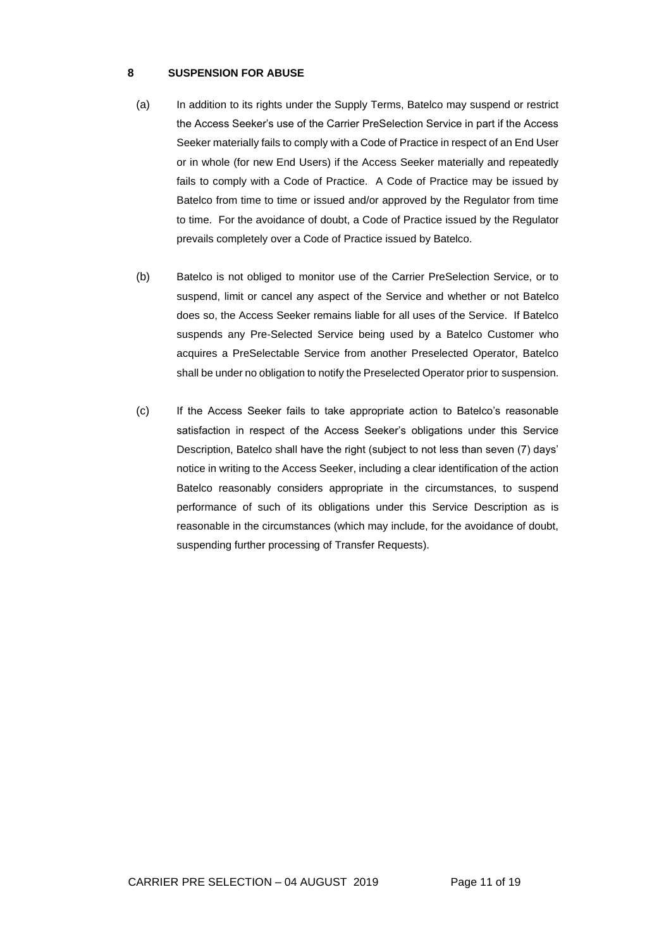#### **8 SUSPENSION FOR ABUSE**

- (a) In addition to its rights under the Supply Terms, Batelco may suspend or restrict the Access Seeker's use of the Carrier PreSelection Service in part if the Access Seeker materially fails to comply with a Code of Practice in respect of an End User or in whole (for new End Users) if the Access Seeker materially and repeatedly fails to comply with a Code of Practice. A Code of Practice may be issued by Batelco from time to time or issued and/or approved by the Regulator from time to time. For the avoidance of doubt, a Code of Practice issued by the Regulator prevails completely over a Code of Practice issued by Batelco.
- (b) Batelco is not obliged to monitor use of the Carrier PreSelection Service, or to suspend, limit or cancel any aspect of the Service and whether or not Batelco does so, the Access Seeker remains liable for all uses of the Service. If Batelco suspends any Pre-Selected Service being used by a Batelco Customer who acquires a PreSelectable Service from another Preselected Operator, Batelco shall be under no obligation to notify the Preselected Operator prior to suspension.
- (c) If the Access Seeker fails to take appropriate action to Batelco's reasonable satisfaction in respect of the Access Seeker's obligations under this Service Description, Batelco shall have the right (subject to not less than seven (7) days' notice in writing to the Access Seeker, including a clear identification of the action Batelco reasonably considers appropriate in the circumstances, to suspend performance of such of its obligations under this Service Description as is reasonable in the circumstances (which may include, for the avoidance of doubt, suspending further processing of Transfer Requests).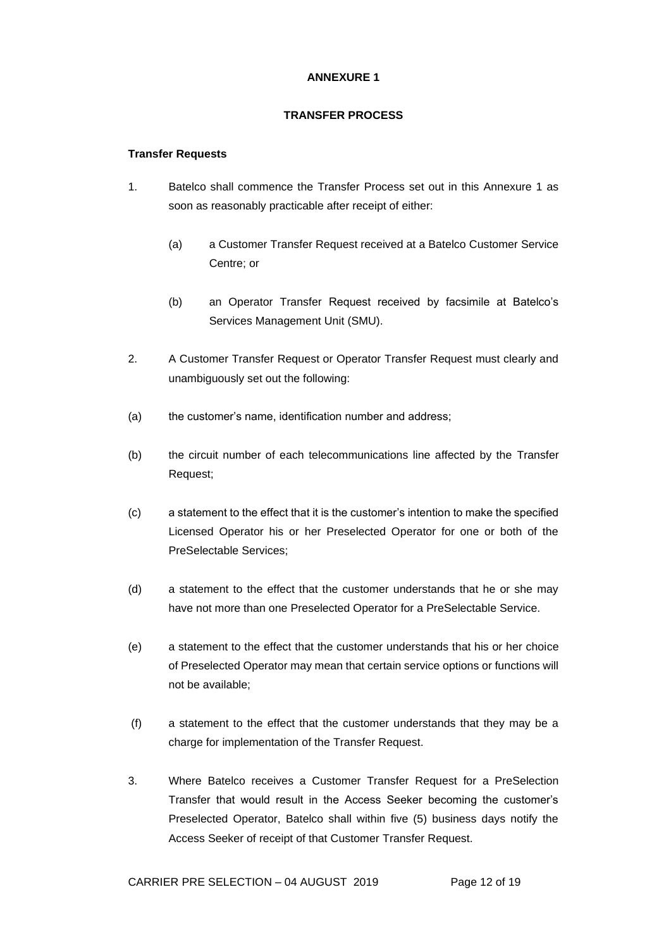#### **ANNEXURE 1**

### **TRANSFER PROCESS**

### **Transfer Requests**

- 1. Batelco shall commence the Transfer Process set out in this Annexure 1 as soon as reasonably practicable after receipt of either:
	- (a) a Customer Transfer Request received at a Batelco Customer Service Centre; or
	- (b) an Operator Transfer Request received by facsimile at Batelco's Services Management Unit (SMU).
- 2. A Customer Transfer Request or Operator Transfer Request must clearly and unambiguously set out the following:
- (a) the customer's name, identification number and address;
- (b) the circuit number of each telecommunications line affected by the Transfer Request;
- (c) a statement to the effect that it is the customer's intention to make the specified Licensed Operator his or her Preselected Operator for one or both of the PreSelectable Services;
- (d) a statement to the effect that the customer understands that he or she may have not more than one Preselected Operator for a PreSelectable Service.
- (e) a statement to the effect that the customer understands that his or her choice of Preselected Operator may mean that certain service options or functions will not be available;
- (f) a statement to the effect that the customer understands that they may be a charge for implementation of the Transfer Request.
- 3. Where Batelco receives a Customer Transfer Request for a PreSelection Transfer that would result in the Access Seeker becoming the customer's Preselected Operator, Batelco shall within five (5) business days notify the Access Seeker of receipt of that Customer Transfer Request.

CARRIER PRE SELECTION - 04 AUGUST 2019 Page 12 of 19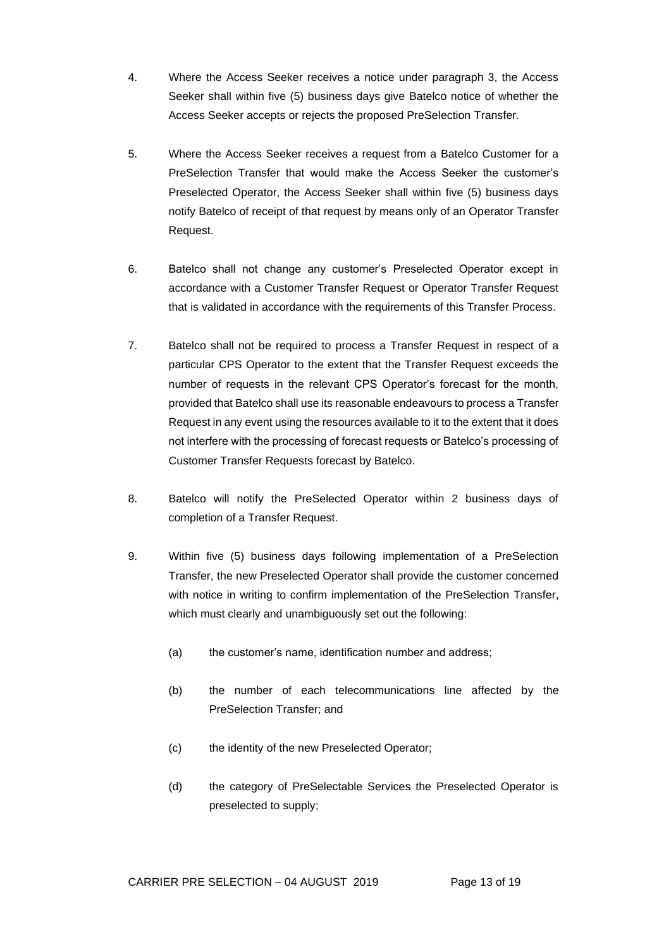- 4. Where the Access Seeker receives a notice under paragraph 3, the Access Seeker shall within five (5) business days give Batelco notice of whether the Access Seeker accepts or rejects the proposed PreSelection Transfer.
- 5. Where the Access Seeker receives a request from a Batelco Customer for a PreSelection Transfer that would make the Access Seeker the customer's Preselected Operator, the Access Seeker shall within five (5) business days notify Batelco of receipt of that request by means only of an Operator Transfer Request.
- 6. Batelco shall not change any customer's Preselected Operator except in accordance with a Customer Transfer Request or Operator Transfer Request that is validated in accordance with the requirements of this Transfer Process.
- 7. Batelco shall not be required to process a Transfer Request in respect of a particular CPS Operator to the extent that the Transfer Request exceeds the number of requests in the relevant CPS Operator's forecast for the month, provided that Batelco shall use its reasonable endeavours to process a Transfer Request in any event using the resources available to it to the extent that it does not interfere with the processing of forecast requests or Batelco's processing of Customer Transfer Requests forecast by Batelco.
- 8. Batelco will notify the PreSelected Operator within 2 business days of completion of a Transfer Request.
- 9. Within five (5) business days following implementation of a PreSelection Transfer, the new Preselected Operator shall provide the customer concerned with notice in writing to confirm implementation of the PreSelection Transfer, which must clearly and unambiguously set out the following:
	- (a) the customer's name, identification number and address;
	- (b) the number of each telecommunications line affected by the PreSelection Transfer; and
	- (c) the identity of the new Preselected Operator;
	- (d) the category of PreSelectable Services the Preselected Operator is preselected to supply;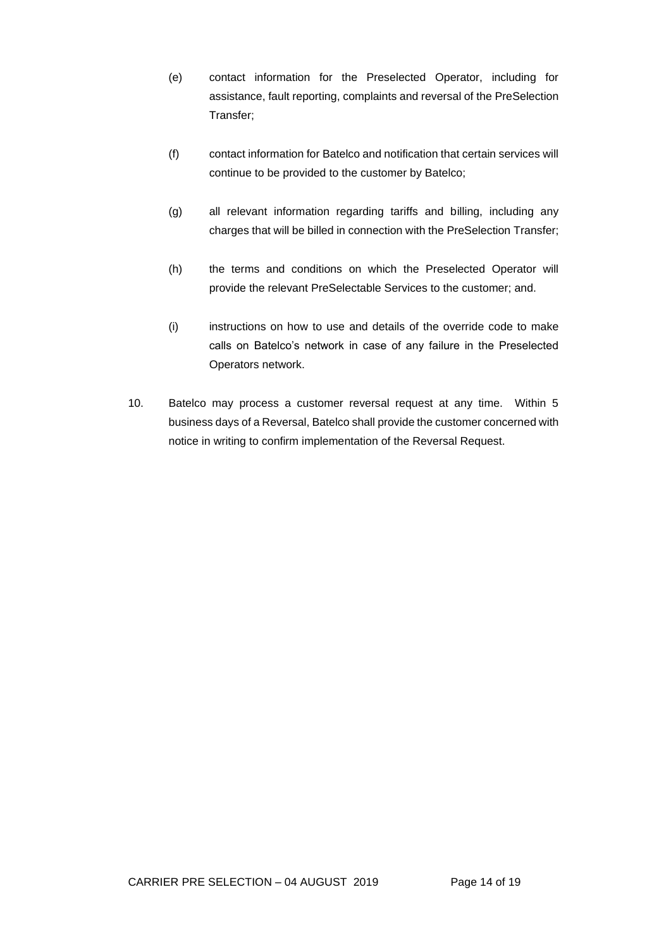- (e) contact information for the Preselected Operator, including for assistance, fault reporting, complaints and reversal of the PreSelection Transfer;
- (f) contact information for Batelco and notification that certain services will continue to be provided to the customer by Batelco;
- (g) all relevant information regarding tariffs and billing, including any charges that will be billed in connection with the PreSelection Transfer;
- (h) the terms and conditions on which the Preselected Operator will provide the relevant PreSelectable Services to the customer; and.
- (i) instructions on how to use and details of the override code to make calls on Batelco's network in case of any failure in the Preselected Operators network.
- 10. Batelco may process a customer reversal request at any time. Within 5 business days of a Reversal, Batelco shall provide the customer concerned with notice in writing to confirm implementation of the Reversal Request.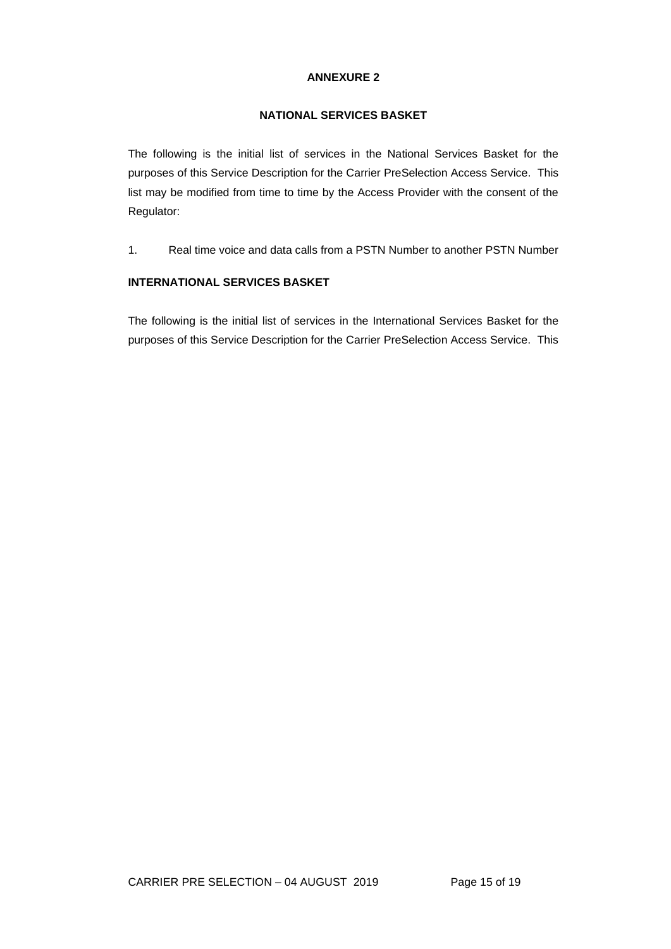### **ANNEXURE 2**

### **NATIONAL SERVICES BASKET**

The following is the initial list of services in the National Services Basket for the purposes of this Service Description for the Carrier PreSelection Access Service. This list may be modified from time to time by the Access Provider with the consent of the Regulator:

1. Real time voice and data calls from a PSTN Number to another PSTN Number

### **INTERNATIONAL SERVICES BASKET**

The following is the initial list of services in the International Services Basket for the purposes of this Service Description for the Carrier PreSelection Access Service. This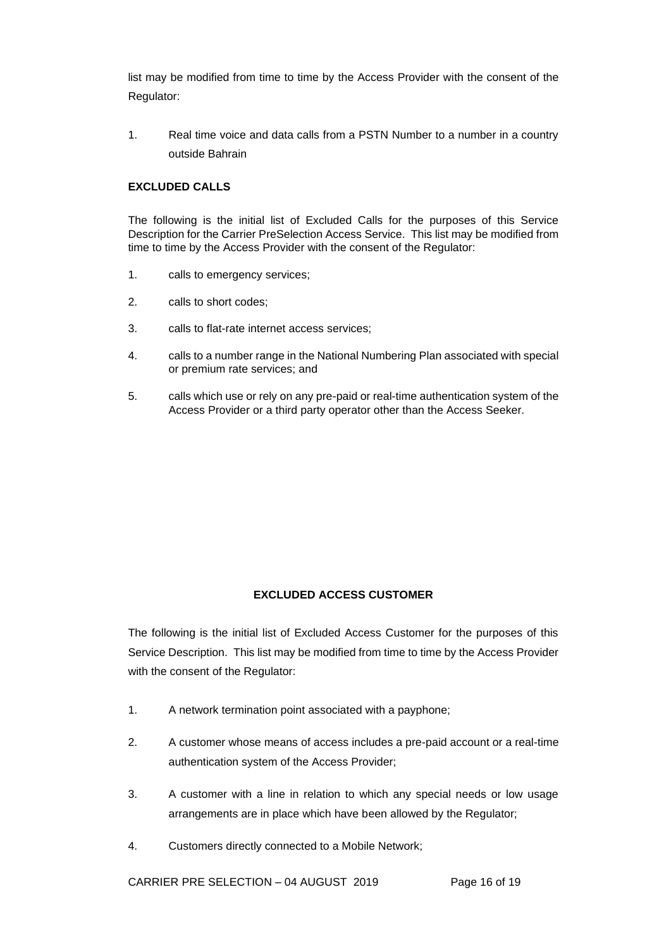list may be modified from time to time by the Access Provider with the consent of the Regulator:

1. Real time voice and data calls from a PSTN Number to a number in a country outside Bahrain

### **EXCLUDED CALLS**

The following is the initial list of Excluded Calls for the purposes of this Service Description for the Carrier PreSelection Access Service. This list may be modified from time to time by the Access Provider with the consent of the Regulator:

- 1. calls to emergency services;
- 2. calls to short codes;
- 3. calls to flat-rate internet access services;
- 4. calls to a number range in the National Numbering Plan associated with special or premium rate services; and
- 5. calls which use or rely on any pre-paid or real-time authentication system of the Access Provider or a third party operator other than the Access Seeker.

#### **EXCLUDED ACCESS CUSTOMER**

The following is the initial list of Excluded Access Customer for the purposes of this Service Description. This list may be modified from time to time by the Access Provider with the consent of the Regulator:

- 1. A network termination point associated with a payphone;
- 2. A customer whose means of access includes a pre-paid account or a real-time authentication system of the Access Provider;
- 3. A customer with a line in relation to which any special needs or low usage arrangements are in place which have been allowed by the Regulator;
- 4. Customers directly connected to a Mobile Network;

CARRIER PRE SELECTION - 04 AUGUST 2019 Page 16 of 19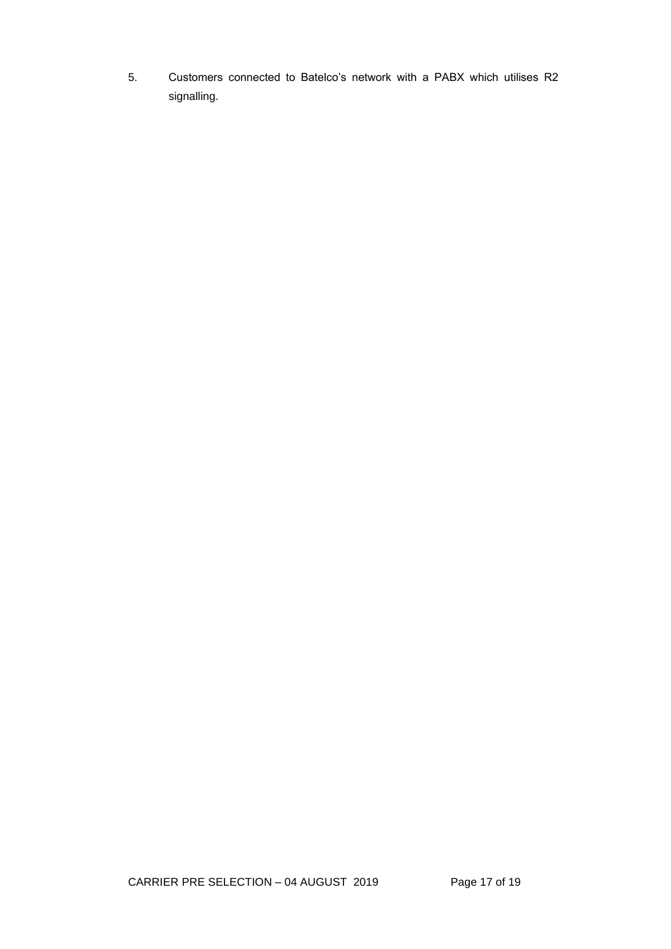5. Customers connected to Batelco's network with a PABX which utilises R2 signalling.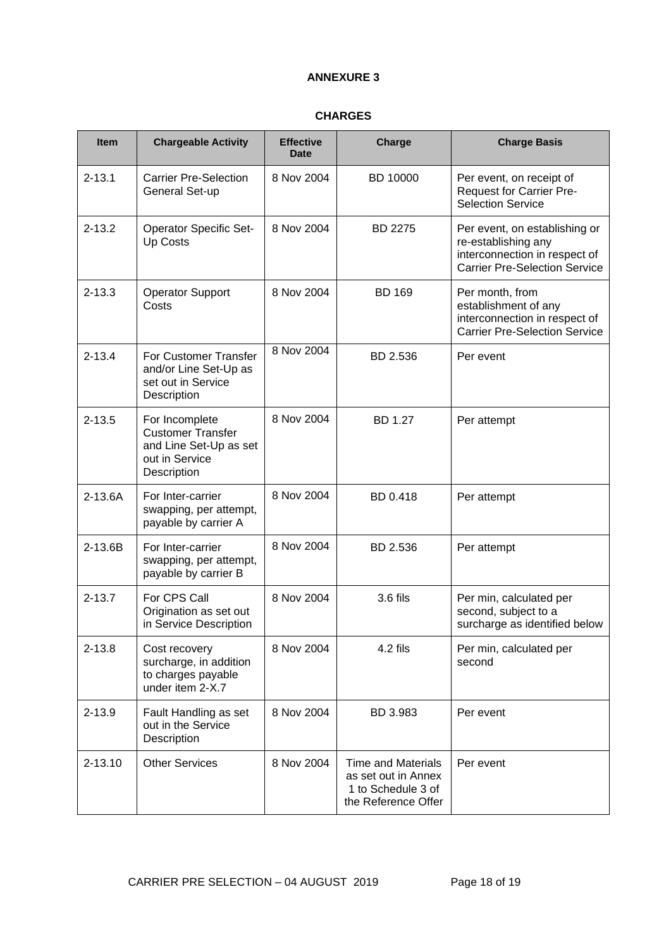### **ANNEXURE 3**

| <b>Item</b> | <b>Chargeable Activity</b>                                                                            | <b>Effective</b><br>Date | <b>Charge</b>                                                                                 | <b>Charge Basis</b>                                                                                                           |
|-------------|-------------------------------------------------------------------------------------------------------|--------------------------|-----------------------------------------------------------------------------------------------|-------------------------------------------------------------------------------------------------------------------------------|
| $2 - 13.1$  | <b>Carrier Pre-Selection</b><br>General Set-up                                                        | 8 Nov 2004               | BD 10000                                                                                      | Per event, on receipt of<br><b>Request for Carrier Pre-</b><br><b>Selection Service</b>                                       |
| $2 - 13.2$  | <b>Operator Specific Set-</b><br>Up Costs                                                             | 8 Nov 2004               | <b>BD 2275</b>                                                                                | Per event, on establishing or<br>re-establishing any<br>interconnection in respect of<br><b>Carrier Pre-Selection Service</b> |
| $2 - 13.3$  | <b>Operator Support</b><br>Costs                                                                      | 8 Nov 2004               | <b>BD 169</b>                                                                                 | Per month, from<br>establishment of any<br>interconnection in respect of<br><b>Carrier Pre-Selection Service</b>              |
| $2 - 13.4$  | For Customer Transfer<br>and/or Line Set-Up as<br>set out in Service<br>Description                   | 8 Nov 2004               | BD 2.536                                                                                      | Per event                                                                                                                     |
| $2 - 13.5$  | For Incomplete<br><b>Customer Transfer</b><br>and Line Set-Up as set<br>out in Service<br>Description | 8 Nov 2004               | BD 1.27                                                                                       | Per attempt                                                                                                                   |
| $2 - 13.6A$ | For Inter-carrier<br>swapping, per attempt,<br>payable by carrier A                                   | 8 Nov 2004               | BD 0.418                                                                                      | Per attempt                                                                                                                   |
| 2-13.6B     | For Inter-carrier<br>swapping, per attempt,<br>payable by carrier B                                   | 8 Nov 2004               | BD 2.536                                                                                      | Per attempt                                                                                                                   |
| $2 - 13.7$  | For CPS Call<br>Origination as set out<br>in Service Description                                      | 8 Nov 2004               | 3.6 fils                                                                                      | Per min, calculated per<br>second, subject to a<br>surcharge as identified below                                              |
| $2 - 13.8$  | Cost recovery<br>surcharge, in addition<br>to charges payable<br>under item 2-X.7                     | 8 Nov 2004               | 4.2 fils                                                                                      | Per min, calculated per<br>second                                                                                             |
| $2 - 13.9$  | Fault Handling as set<br>out in the Service<br>Description                                            | 8 Nov 2004               | BD 3.983                                                                                      | Per event                                                                                                                     |
| $2 - 13.10$ | <b>Other Services</b>                                                                                 | 8 Nov 2004               | <b>Time and Materials</b><br>as set out in Annex<br>1 to Schedule 3 of<br>the Reference Offer | Per event                                                                                                                     |

### **CHARGES**